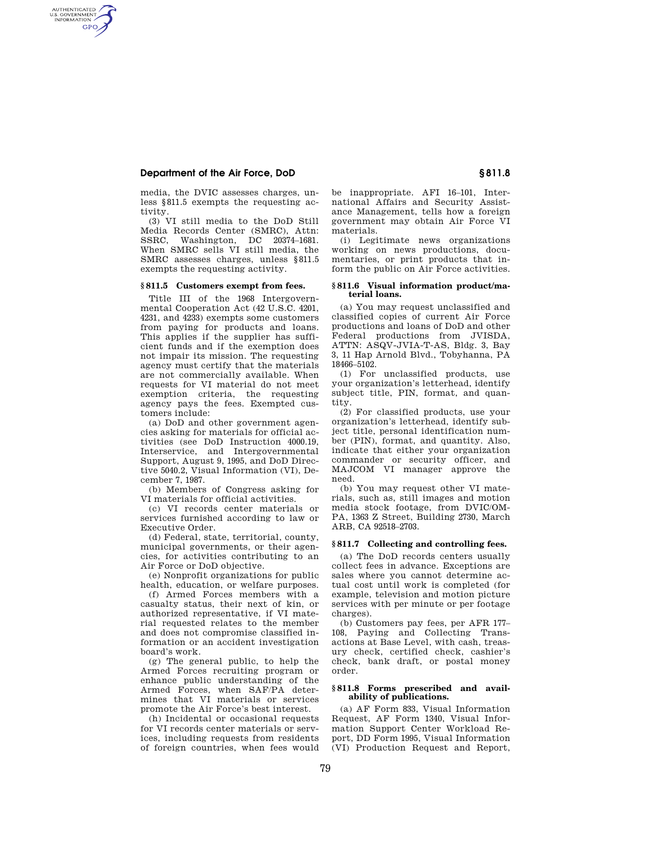## **Department of the Air Force, DoD § 811.8**

AUTHENTICATED<br>U.S. GOVERNMENT<br>INFORMATION **GPO** 

> media, the DVIC assesses charges, unless §811.5 exempts the requesting activity.

(3) VI still media to the DoD Still Media Records Center (SMRC), Attn: SSRC, Washington, DC 20374–1681. When SMRC sells VI still media, the SMRC assesses charges, unless §811.5 exempts the requesting activity.

## **§ 811.5 Customers exempt from fees.**

Title III of the 1968 Intergovernmental Cooperation Act (42 U.S.C. 4201, 4231, and 4233) exempts some customers from paying for products and loans. This applies if the supplier has sufficient funds and if the exemption does not impair its mission. The requesting agency must certify that the materials are not commercially available. When requests for VI material do not meet exemption criteria, the requesting agency pays the fees. Exempted customers include:

(a) DoD and other government agencies asking for materials for official activities (see DoD Instruction 4000.19, Interservice, and Intergovernmental Support, August 9, 1995, and DoD Directive 5040.2, Visual Information (VI), December 7, 1987.

(b) Members of Congress asking for VI materials for official activities.

(c) VI records center materials or services furnished according to law or Executive Order.

(d) Federal, state, territorial, county, municipal governments, or their agencies, for activities contributing to an Air Force or DoD objective.

(e) Nonprofit organizations for public health, education, or welfare purposes.

(f) Armed Forces members with a casualty status, their next of kin, or authorized representative, if VI material requested relates to the member and does not compromise classified information or an accident investigation board's work.

(g) The general public, to help the Armed Forces recruiting program or enhance public understanding of the Armed Forces, when SAF/PA determines that VI materials or services promote the Air Force's best interest.

(h) Incidental or occasional requests for VI records center materials or services, including requests from residents of foreign countries, when fees would be inappropriate. AFI 16–101, International Affairs and Security Assistance Management, tells how a foreign government may obtain Air Force VI materials.

(i) Legitimate news organizations working on news productions, documentaries, or print products that inform the public on Air Force activities.

#### **§ 811.6 Visual information product/material loans.**

(a) You may request unclassified and classified copies of current Air Force productions and loans of DoD and other Federal productions from JVISDA, ATTN: ASQV-JVIA-T-AS, Bldg. 3, Bay 3, 11 Hap Arnold Blvd., Tobyhanna, PA 18466–5102.

(1) For unclassified products, use your organization's letterhead, identify subject title, PIN, format, and quantity.

(2) For classified products, use your organization's letterhead, identify subject title, personal identification number (PIN), format, and quantity. Also, indicate that either your organization commander or security officer, and MAJCOM VI manager approve the need.

(b) You may request other VI materials, such as, still images and motion media stock footage, from DVIC/OM-PA, 1363 Z Street, Building 2730, March ARB, CA 92518–2703.

## **§ 811.7 Collecting and controlling fees.**

(a) The DoD records centers usually collect fees in advance. Exceptions are sales where you cannot determine actual cost until work is completed (for example, television and motion picture services with per minute or per footage charges).

(b) Customers pay fees, per AFR 177– 108, Paying and Collecting Transactions at Base Level, with cash, treasury check, certified check, cashier's check, bank draft, or postal money order.

#### **§ 811.8 Forms prescribed and availability of publications.**

(a) AF Form 833, Visual Information Request, AF Form 1340, Visual Information Support Center Workload Report, DD Form 1995, Visual Information (VI) Production Request and Report,